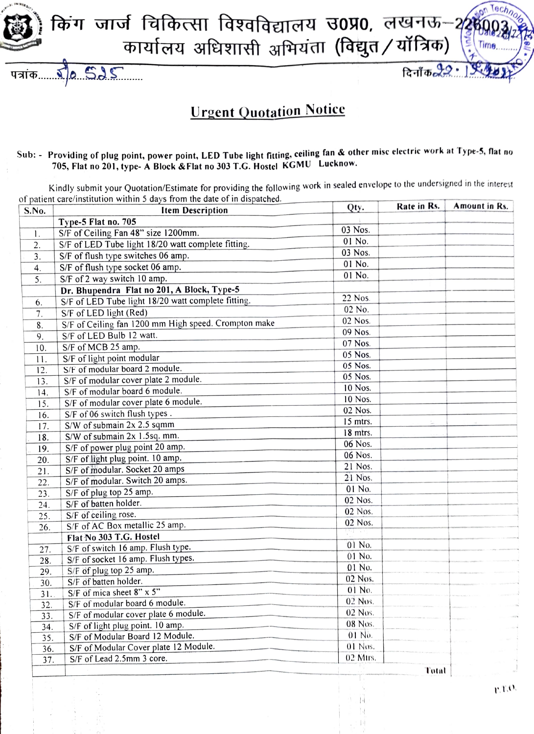किंग जार्ज चिकित्सा विश्वविद्यालय उ0प्र0, लखनऊ–2 कार्यालय अधिशासी अभियंता (विद्युत/यॉत्रिक)

**Urgent Quotation Notice** 

 $5655$ 

पत्रांक......

## Sub: - Providing of plug point, power point, LED Tube light fitting, ceiling fan & other misc electric work at Type-5, flat no 705, Flat no 201, type- A Block & Flat no 303 T.G. Hostel KGMU Lucknow.

Kindly submit your Quotation/Estimate for providing the following work in sealed envelope to the undersigned in the interest of patient care/institution within 5 days from the date of in dispatched.

| S.No.            | <b>Item Description</b>                              | Qty.      | Rate in Rs. | Amount in Rs. |
|------------------|------------------------------------------------------|-----------|-------------|---------------|
|                  | Type-5 Flat no. 705                                  |           |             |               |
| $\mathbf{I}$ .   | S/F of Ceiling Fan 48" size 1200mm.                  | 03 Nos.   |             |               |
| 2.               | S/F of LED Tube light 18/20 watt complete fitting.   | 01 No.    |             |               |
| 3 <sub>1</sub>   | S/F of flush type switches 06 amp.                   | 03 Nos.   |             |               |
| $\overline{4}$ . | S/F of flush type socket 06 amp.                     | 01 No.    |             |               |
| 5.               | S/F of 2 way switch 10 amp.                          | 01 No.    |             |               |
|                  | Dr. Bhupendra Flat no 201, A Block, Type-5           |           |             |               |
| 6.               | S/F of LED Tube light 18/20 watt complete fitting.   | 22 Nos.   |             |               |
| 7.               | S/F of LED light (Red)                               | 02 No.    |             |               |
| 8.               | S/F of Ceiling fan 1200 mm High speed. Crompton make | 02 Nos.   |             |               |
| 9.               | S/F of LED Bulb 12 watt.                             | 09 Nos.   |             |               |
| 10.              | S/F of MCB 25 amp.                                   | 07 Nos.   |             |               |
| 11.              | S/F of light point modular                           | 05 Nos.   |             |               |
| 12.              | S/F of modular board 2 module.                       | 05 Nos.   |             |               |
| 13.              | S/F of modular cover plate 2 module.                 | 05 Nos.   |             |               |
| 14.              | S/F of modular board 6 module.                       | 10 Nos.   |             |               |
| 15.              | S/F of modular cover plate 6 module.                 | 10 Nos.   |             |               |
| 16.              | S/F of 06 switch flush types.                        | 02 Nos.   |             |               |
| 17.              | $S/W$ of submain $2x$ 2.5 sqmm                       | 15 mtrs.  |             |               |
| 18.              | S/W of submain 2x 1.5sq. mm.                         | 18 mtrs.  |             |               |
| 19.              | S/F of power plug point 20 amp.                      | 06 Nos.   |             |               |
| 20.              | S/F of light plug point. 10 amp.                     | 06 Nos.   |             |               |
| 21.              | S/F of modular. Socket 20 amps                       | 21 Nos.   |             |               |
| 22.              | S/F of modular. Switch 20 amps.                      | 21 Nos.   |             |               |
| 23.              | S/F of plug top 25 amp.                              | 01 No.    |             |               |
| 24.              | S/F of batten holder.                                | 02 Nos.   |             |               |
| 25.              | S/F of ceiling rose.                                 | 02 Nos.   |             |               |
| 26.              | S/F of AC Box metallic 25 amp.                       | 02 Nos.   |             |               |
|                  | Flat No 303 T.G. Hostel                              |           |             |               |
| 27.              | S/F of switch 16 amp. Flush type.                    | 01 No.    |             |               |
| 28.              | S/F of socket 16 amp. Flush types.                   | 01 No.    |             |               |
| 29.              | S/F of plug top 25 amp.                              | 01 No.    |             |               |
| 30.              | S/F of batten holder.                                | 02 Nos.   |             |               |
| 31.              | S/F of mica sheet 8" x 5"                            | 01 No.    |             |               |
| 32.              | S/F of modular board 6 module.                       | $02$ Nos. |             |               |
| 33.              | S/F of modular cover plate 6 module.                 | 02 Nos.   |             |               |
| 34.              | S/F of light plug point. 10 amp.                     | 08 Nos.   |             |               |
| 35.              | S/F of Modular Board 12 Module.                      | $01$ No.  |             |               |
| 36.              | S/F of Modular Cover plate 12 Module.                | $01$ Nos. |             |               |
| 37.              | S/F of Lead 2.5mm 3 core.                            | 02 Mtrs.  |             |               |
|                  |                                                      |           | Total       |               |

 $r.t.$ 

 $\mathfrak{c}_{\alpha\mathfrak{c}_{\mathfrak{h}}}$ 

दिनाँक $22$